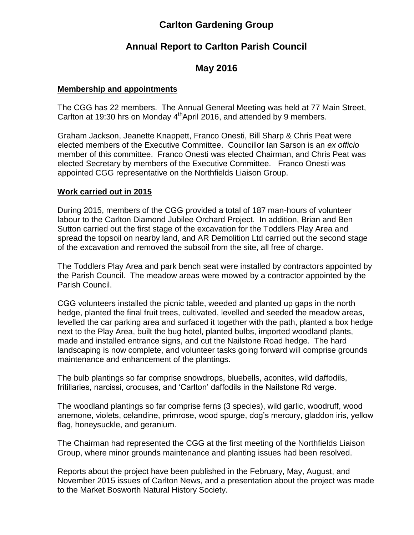# **Carlton Gardening Group**

# **Annual Report to Carlton Parish Council**

## **May 2016**

#### **Membership and appointments**

The CGG has 22 members. The Annual General Meeting was held at 77 Main Street, Carlton at 19:30 hrs on Monday 4<sup>th</sup> April 2016, and attended by 9 members.

Graham Jackson, Jeanette Knappett, Franco Onesti, Bill Sharp & Chris Peat were elected members of the Executive Committee. Councillor Ian Sarson is an *ex officio*  member of this committee. Franco Onesti was elected Chairman, and Chris Peat was elected Secretary by members of the Executive Committee. Franco Onesti was appointed CGG representative on the Northfields Liaison Group.

#### **Work carried out in 2015**

During 2015, members of the CGG provided a total of 187 man-hours of volunteer labour to the Carlton Diamond Jubilee Orchard Project. In addition, Brian and Ben Sutton carried out the first stage of the excavation for the Toddlers Play Area and spread the topsoil on nearby land, and AR Demolition Ltd carried out the second stage of the excavation and removed the subsoil from the site, all free of charge.

The Toddlers Play Area and park bench seat were installed by contractors appointed by the Parish Council. The meadow areas were mowed by a contractor appointed by the Parish Council.

CGG volunteers installed the picnic table, weeded and planted up gaps in the north hedge, planted the final fruit trees, cultivated, levelled and seeded the meadow areas, levelled the car parking area and surfaced it together with the path, planted a box hedge next to the Play Area, built the bug hotel, planted bulbs, imported woodland plants, made and installed entrance signs, and cut the Nailstone Road hedge. The hard landscaping is now complete, and volunteer tasks going forward will comprise grounds maintenance and enhancement of the plantings.

The bulb plantings so far comprise snowdrops, bluebells, aconites, wild daffodils, fritillaries, narcissi, crocuses, and 'Carlton' daffodils in the Nailstone Rd verge.

The woodland plantings so far comprise ferns (3 species), wild garlic, woodruff, wood anemone, violets, celandine, primrose, wood spurge, dog's mercury, gladdon iris, yellow flag, honeysuckle, and geranium.

The Chairman had represented the CGG at the first meeting of the Northfields Liaison Group, where minor grounds maintenance and planting issues had been resolved.

Reports about the project have been published in the February, May, August, and November 2015 issues of Carlton News, and a presentation about the project was made to the Market Bosworth Natural History Society.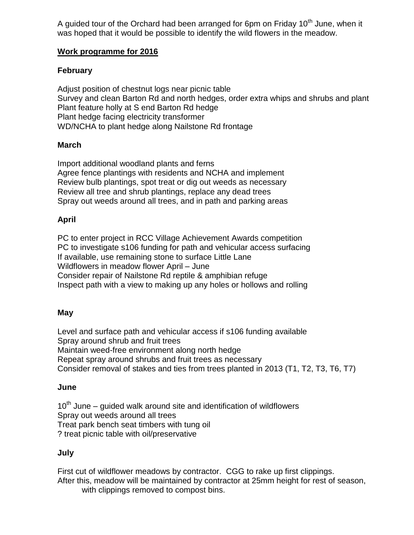A guided tour of the Orchard had been arranged for 6pm on Friday  $10<sup>th</sup>$  June, when it was hoped that it would be possible to identify the wild flowers in the meadow.

## **Work programme for 2016**

## **February**

Adjust position of chestnut logs near picnic table Survey and clean Barton Rd and north hedges, order extra whips and shrubs and plant Plant feature holly at S end Barton Rd hedge Plant hedge facing electricity transformer WD/NCHA to plant hedge along Nailstone Rd frontage

## **March**

Import additional woodland plants and ferns Agree fence plantings with residents and NCHA and implement Review bulb plantings, spot treat or dig out weeds as necessary Review all tree and shrub plantings, replace any dead trees Spray out weeds around all trees, and in path and parking areas

## **April**

PC to enter project in RCC Village Achievement Awards competition PC to investigate s106 funding for path and vehicular access surfacing If available, use remaining stone to surface Little Lane Wildflowers in meadow flower April – June Consider repair of Nailstone Rd reptile & amphibian refuge Inspect path with a view to making up any holes or hollows and rolling

## **May**

Level and surface path and vehicular access if s106 funding available Spray around shrub and fruit trees Maintain weed-free environment along north hedge Repeat spray around shrubs and fruit trees as necessary Consider removal of stakes and ties from trees planted in 2013 (T1, T2, T3, T6, T7)

#### **June**

 $10<sup>th</sup>$  June – guided walk around site and identification of wildflowers Spray out weeds around all trees Treat park bench seat timbers with tung oil ? treat picnic table with oil/preservative

## **July**

First cut of wildflower meadows by contractor. CGG to rake up first clippings. After this, meadow will be maintained by contractor at 25mm height for rest of season, with clippings removed to compost bins.